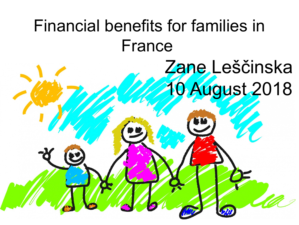# Zane Leščinska 0 August 2018 Financial benefits for families in France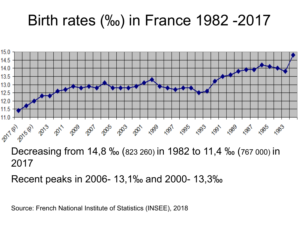### Birth rates (‰) in France 1982 -2017



Recent peaks in 2006- 13,1‰ and 2000- 13,3‰

Source: French National Institute of Statistics (INSEE), 2018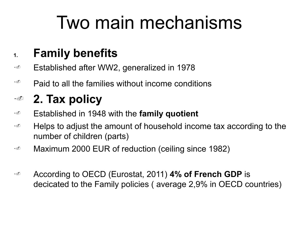## Two main mechanisms

#### **1. Family benefits**

- •<sup>®</sup> Established after WW2, generalized in 1978
- $\cdot^{\circ}$  Paid to all the families without income conditions

#### •. **2. Tax policy**

- •. Established in 1948 with the **family quotient**
- $\cdot$  e Helps to adjust the amount of household income tax according to the number of children (parts)
- •<sup>®</sup> Maximum 2000 EUR of reduction (ceiling since 1982)
- •. According to OECD (Eurostat, 2011) **4% of French GDP** is decicated to the Family policies ( average 2,9% in OECD countries)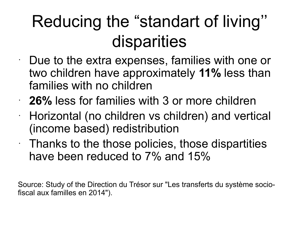## Reducing the "standart of living'' disparities

• Due to the extra expenses, families with one or two children have approximately **11%** less than families with no children

- **26%** less for families with 3 or more children
- Horizontal (no children vs children) and vertical (income based) redistribution
- $\cdot$  Thanks to the those policies, those dispartities have been reduced to 7% and 15%

Source: Study of the Direction du Trésor sur "Les transferts du système sociofiscal aux familles en 2014").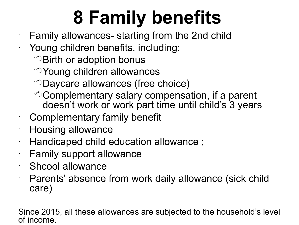# **8 Family benefits**

 $\cdot$  Family allowances- starting from the 2nd child

- Young children benefits, including:
	- **D** Birth or adoption bonus
	- **D**Young children allowances
	- -Daycare allowances (free choice)
	- -Complementary salary compensation, if a parent doesn't work or work part time until child's 3 years
- Complementary family benefit
- Housing allowance
- Handicaped child education allowance ;
- Family support allowance
- Shcool allowance
- Parents' absence from work daily allowance (sick child care)

Since 2015, all these allowances are subjected to the household's level of income.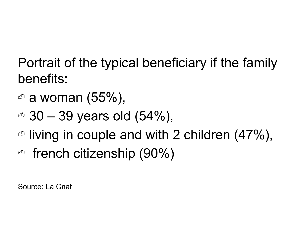Portrait of the typical beneficiary if the family benefits:

- $\textdegree$  a woman (55%),
- $\textdegree$  30 39 years old (54%),
- $\textdegree$  living in couple and with 2 children (47%),
- $\textdegree$  french citizenship (90%)

Source: La Cnaf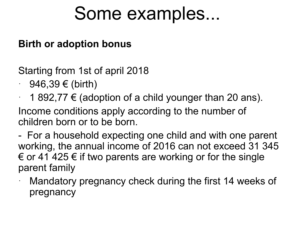## Some examples...

#### **Birth or adoption bonus**

Starting from 1st of april 2018

- $\cdot$  946,39 € (birth)
- $\cdot$  1 892,77 € (adoption of a child younger than 20 ans).

Income conditions apply according to the number of children born or to be born.

- For a household expecting one child and with one parent working, the annual income of 2016 can not exceed 31 345  $\epsilon$  or 41 425  $\epsilon$  if two parents are working or for the single parent family

Mandatory pregnancy check during the first 14 weeks of pregnancy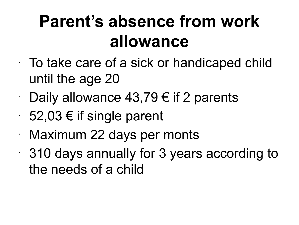## **Parent's absence from work allowance**

- $\cdot$  To take care of a sick or handicaped child until the age 20
- Daily allowance 43,79  $\epsilon$  if 2 parents
- $\cdot$  52,03 € if single parent
- Maximum 22 days per monts
- 310 days annually for 3 years according to the needs of a child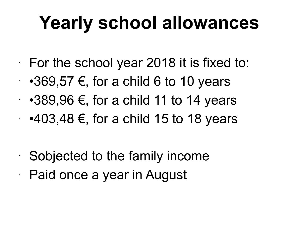# **Yearly school allowances**

 $\cdot$  For the school year 2018 it is fixed to:

- $\cdot$  •369,57 €, for a child 6 to 10 years
- $\cdot$  •389,96 €, for a child 11 to 14 years
- $\cdot$  •403,48 €, for a child 15 to 18 years

• Sobjected to the family income • Paid once a year in August